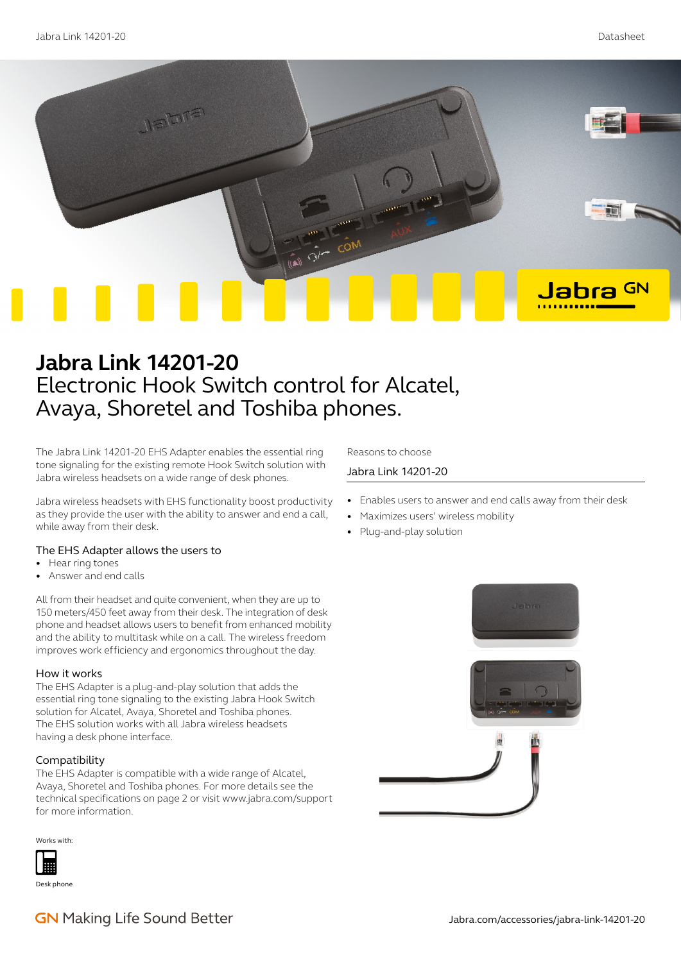

# **Jabra Link 14201-20** Electronic Hook Switch control for Alcatel, Avaya, Shoretel and Toshiba phones.

The Jabra Link 14201-20 EHS Adapter enables the essential ring tone signaling for the existing remote Hook Switch solution with Jabra wireless headsets on a wide range of desk phones.

Jabra wireless headsets with EHS functionality boost productivity as they provide the user with the ability to answer and end a call, while away from their desk.

# The EHS Adapter allows the users to

- Hear ring tones
- Answer and end calls

All from their headset and quite convenient, when they are up to 150 meters/450 feet away from their desk. The integration of desk phone and headset allows users to benefit from enhanced mobility and the ability to multitask while on a call. The wireless freedom improves work efficiency and ergonomics throughout the day.

### How it works

The EHS Adapter is a plug-and-play solution that adds the essential ring tone signaling to the existing Jabra Hook Switch solution for Alcatel, Avaya, Shoretel and Toshiba phones. The EHS solution works with all Jabra wireless headsets having a desk phone interface.

# Compatibility

The EHS Adapter is compatible with a wide range of Alcatel, Avaya, Shoretel and Toshiba phones. For more details see the technical specifications on page 2 or visit www.jabra.com/support for more information.

Works with:



Desk phone

Reasons to choose

# Jabra Link 14201-20

- Enables users to answer and end calls away from their desk
- Maximizes users' wireless mobility
- Plug-and-play solution